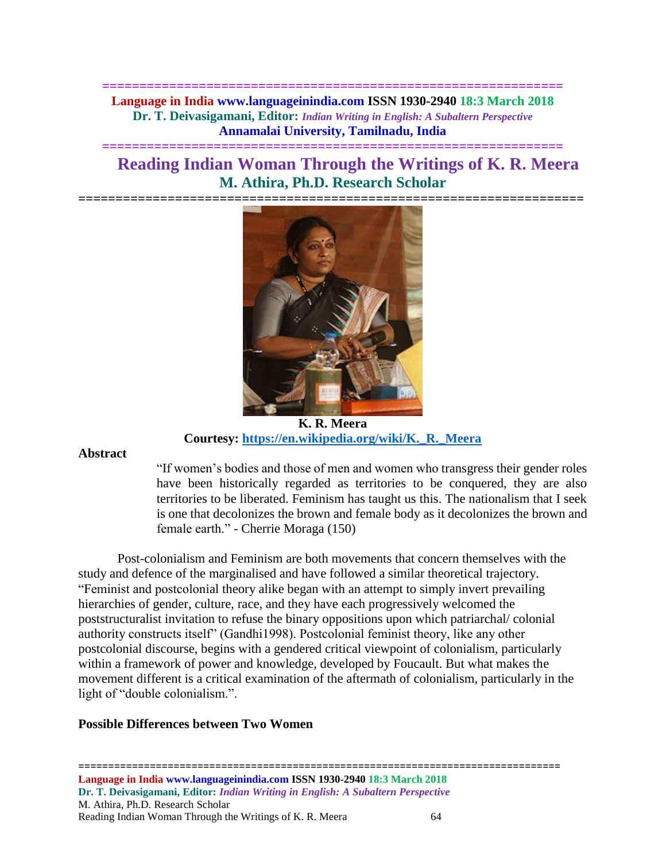**============================================================== Language in India www.languageinindia.com ISSN 1930-2940 18:3 March 2018 Dr. T. Deivasigamani, Editor:** *Indian Writing in English: A Subaltern Perspective* **Annamalai University, Tamilnadu, India**

**==============================================================**

# **Reading Indian Woman Through the Writings of K. R. Meera M. Athira, Ph.D. Research Scholar**



**K. R. Meera Courtesy: [https://en.wikipedia.org/wiki/K.\\_R.\\_Meera](https://en.wikipedia.org/wiki/K._R._Meera)**

**Abstract**

"If women's bodies and those of men and women who transgress their gender roles have been historically regarded as territories to be conquered, they are also territories to be liberated. Feminism has taught us this. The nationalism that I seek is one that decolonizes the brown and female body as it decolonizes the brown and female earth." - Cherrie Moraga (150)

Post-colonialism and Feminism are both movements that concern themselves with the study and defence of the marginalised and have followed a similar theoretical trajectory. "Feminist and postcolonial theory alike began with an attempt to simply invert prevailing hierarchies of gender, culture, race, and they have each progressively welcomed the poststructuralist invitation to refuse the binary oppositions upon which patriarchal/ colonial authority constructs itself" (Gandhi1998). Postcolonial feminist theory, like any other postcolonial discourse, begins with a gendered critical viewpoint of colonialism, particularly within a framework of power and knowledge, developed by Foucault. But what makes the movement different is a critical examination of the aftermath of colonialism, particularly in the light of "double colonialism.".

## **Possible Differences between Two Women**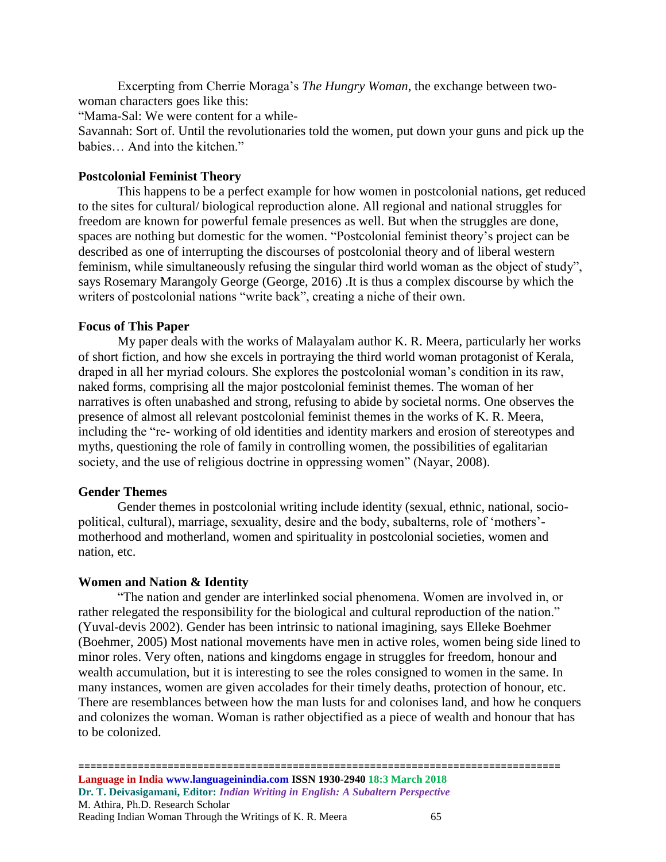Excerpting from Cherrie Moraga's *The Hungry Woman*, the exchange between twowoman characters goes like this:

"Mama-Sal: We were content for a while-

Savannah: Sort of. Until the revolutionaries told the women, put down your guns and pick up the babies… And into the kitchen."

## **Postcolonial Feminist Theory**

This happens to be a perfect example for how women in postcolonial nations, get reduced to the sites for cultural/ biological reproduction alone. All regional and national struggles for freedom are known for powerful female presences as well. But when the struggles are done, spaces are nothing but domestic for the women. "Postcolonial feminist theory's project can be described as one of interrupting the discourses of postcolonial theory and of liberal western feminism, while simultaneously refusing the singular third world woman as the object of study", says Rosemary Marangoly George (George, 2016) .It is thus a complex discourse by which the writers of postcolonial nations "write back", creating a niche of their own.

## **Focus of This Paper**

My paper deals with the works of Malayalam author K. R. Meera, particularly her works of short fiction, and how she excels in portraying the third world woman protagonist of Kerala, draped in all her myriad colours. She explores the postcolonial woman's condition in its raw, naked forms, comprising all the major postcolonial feminist themes. The woman of her narratives is often unabashed and strong, refusing to abide by societal norms. One observes the presence of almost all relevant postcolonial feminist themes in the works of K. R. Meera, including the "re- working of old identities and identity markers and erosion of stereotypes and myths, questioning the role of family in controlling women, the possibilities of egalitarian society, and the use of religious doctrine in oppressing women" (Nayar, 2008).

#### **Gender Themes**

Gender themes in postcolonial writing include identity (sexual, ethnic, national, sociopolitical, cultural), marriage, sexuality, desire and the body, subalterns, role of 'mothers' motherhood and motherland, women and spirituality in postcolonial societies, women and nation, etc.

#### **Women and Nation & Identity**

"The nation and gender are interlinked social phenomena. Women are involved in, or rather relegated the responsibility for the biological and cultural reproduction of the nation." (Yuval-devis 2002). Gender has been intrinsic to national imagining, says Elleke Boehmer (Boehmer, 2005) Most national movements have men in active roles, women being side lined to minor roles. Very often, nations and kingdoms engage in struggles for freedom, honour and wealth accumulation, but it is interesting to see the roles consigned to women in the same. In many instances, women are given accolades for their timely deaths, protection of honour, etc. There are resemblances between how the man lusts for and colonises land, and how he conquers and colonizes the woman. Woman is rather objectified as a piece of wealth and honour that has to be colonized.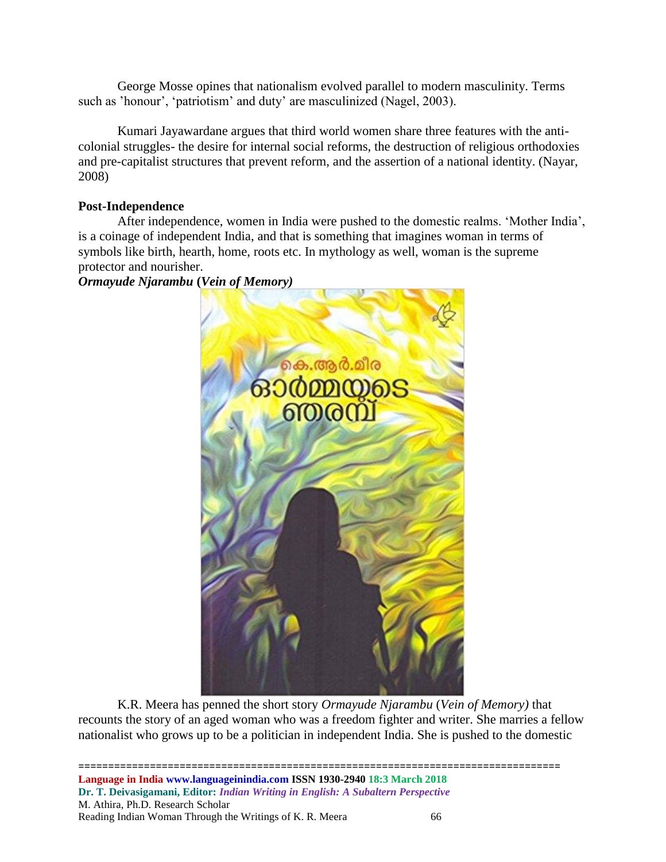George Mosse opines that nationalism evolved parallel to modern masculinity. Terms such as 'honour', 'patriotism' and duty' are masculinized (Nagel, 2003).

Kumari Jayawardane argues that third world women share three features with the anticolonial struggles- the desire for internal social reforms, the destruction of religious orthodoxies and pre-capitalist structures that prevent reform, and the assertion of a national identity. (Nayar, 2008)

# **Post-Independence**

After independence, women in India were pushed to the domestic realms. 'Mother India', is a coinage of independent India, and that is something that imagines woman in terms of symbols like birth, hearth, home, roots etc. In mythology as well, woman is the supreme protector and nourisher.

*Ormayude Njarambu* **(***Vein of Memory)*



K.R. Meera has penned the short story *Ormayude Njarambu* (*Vein of Memory)* that recounts the story of an aged woman who was a freedom fighter and writer. She marries a fellow nationalist who grows up to be a politician in independent India. She is pushed to the domestic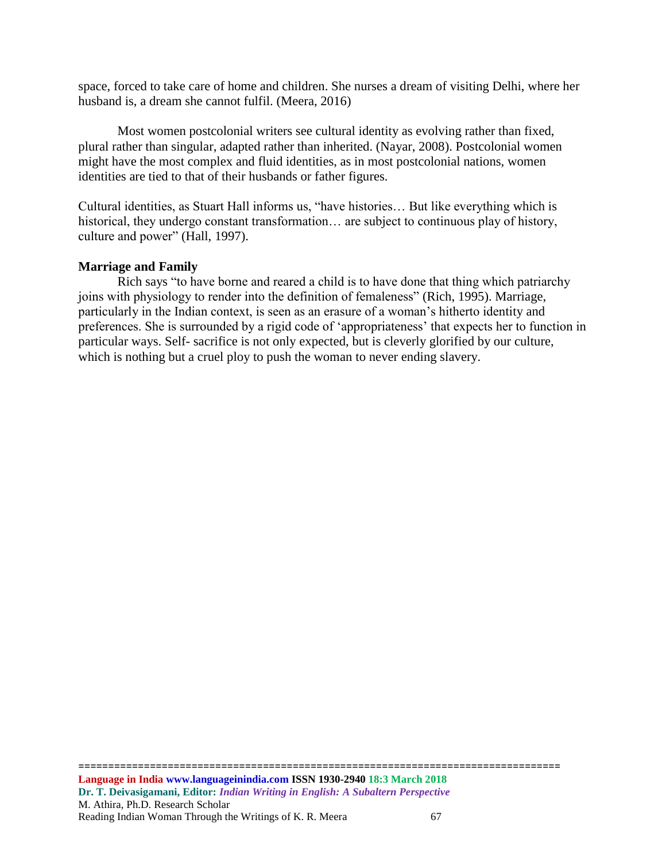space, forced to take care of home and children. She nurses a dream of visiting Delhi, where her husband is, a dream she cannot fulfil. (Meera, 2016)

Most women postcolonial writers see cultural identity as evolving rather than fixed, plural rather than singular, adapted rather than inherited. (Nayar, 2008). Postcolonial women might have the most complex and fluid identities, as in most postcolonial nations, women identities are tied to that of their husbands or father figures.

Cultural identities, as Stuart Hall informs us, "have histories… But like everything which is historical, they undergo constant transformation... are subject to continuous play of history, culture and power" (Hall, 1997).

#### **Marriage and Family**

Rich says "to have borne and reared a child is to have done that thing which patriarchy joins with physiology to render into the definition of femaleness" (Rich, 1995). Marriage, particularly in the Indian context, is seen as an erasure of a woman's hitherto identity and preferences. She is surrounded by a rigid code of 'appropriateness' that expects her to function in particular ways. Self- sacrifice is not only expected, but is cleverly glorified by our culture, which is nothing but a cruel ploy to push the woman to never ending slavery.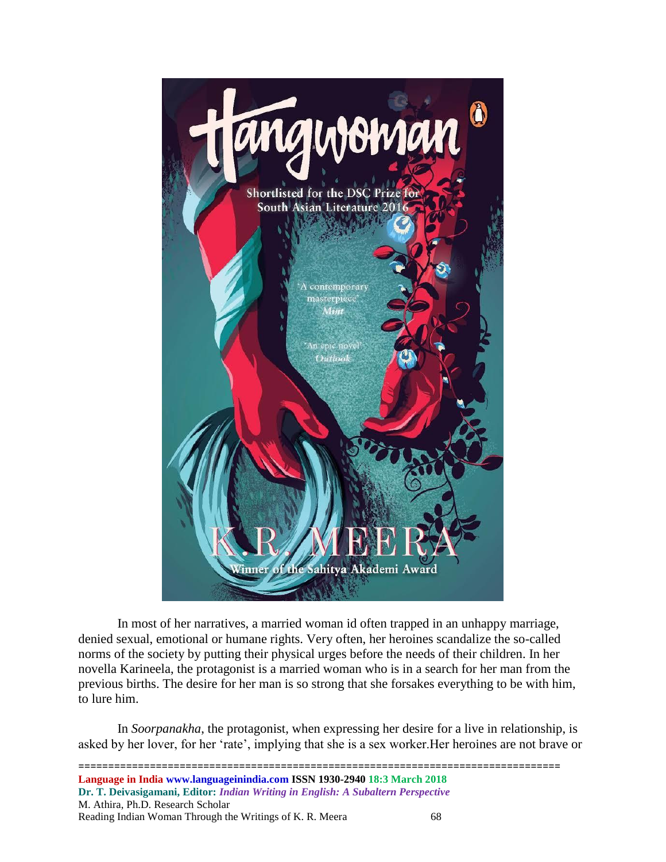

In most of her narratives, a married woman id often trapped in an unhappy marriage, denied sexual, emotional or humane rights. Very often, her heroines scandalize the so-called norms of the society by putting their physical urges before the needs of their children. In her novella Karineela, the protagonist is a married woman who is in a search for her man from the previous births. The desire for her man is so strong that she forsakes everything to be with him, to lure him.

In *Soorpanakha*, the protagonist, when expressing her desire for a live in relationship, is asked by her lover, for her 'rate', implying that she is a sex worker.Her heroines are not brave or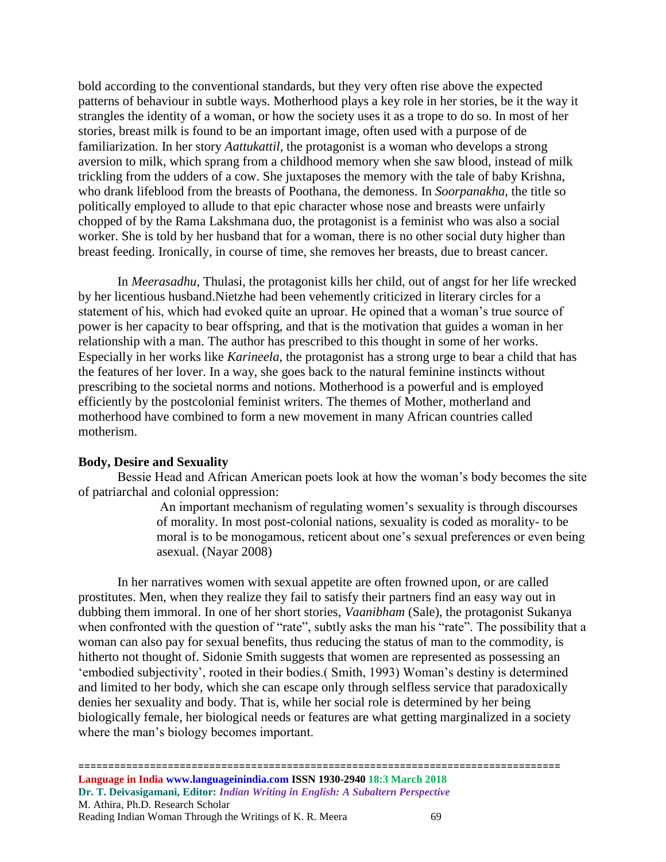bold according to the conventional standards, but they very often rise above the expected patterns of behaviour in subtle ways. Motherhood plays a key role in her stories, be it the way it strangles the identity of a woman, or how the society uses it as a trope to do so. In most of her stories, breast milk is found to be an important image, often used with a purpose of de familiarization. In her story *Aattukattil,* the protagonist is a woman who develops a strong aversion to milk, which sprang from a childhood memory when she saw blood, instead of milk trickling from the udders of a cow. She juxtaposes the memory with the tale of baby Krishna, who drank lifeblood from the breasts of Poothana, the demoness. In *Soorpanakha,* the title so politically employed to allude to that epic character whose nose and breasts were unfairly chopped of by the Rama Lakshmana duo, the protagonist is a feminist who was also a social worker. She is told by her husband that for a woman, there is no other social duty higher than breast feeding. Ironically, in course of time, she removes her breasts, due to breast cancer.

In *Meerasadhu*, Thulasi, the protagonist kills her child, out of angst for her life wrecked by her licentious husband.Nietzhe had been vehemently criticized in literary circles for a statement of his, which had evoked quite an uproar. He opined that a woman's true source of power is her capacity to bear offspring, and that is the motivation that guides a woman in her relationship with a man. The author has prescribed to this thought in some of her works. Especially in her works like *Karineela*, the protagonist has a strong urge to bear a child that has the features of her lover. In a way, she goes back to the natural feminine instincts without prescribing to the societal norms and notions. Motherhood is a powerful and is employed efficiently by the postcolonial feminist writers. The themes of Mother, motherland and motherhood have combined to form a new movement in many African countries called motherism.

#### **Body, Desire and Sexuality**

Bessie Head and African American poets look at how the woman's body becomes the site of patriarchal and colonial oppression:

> An important mechanism of regulating women's sexuality is through discourses of morality. In most post-colonial nations, sexuality is coded as morality- to be moral is to be monogamous, reticent about one's sexual preferences or even being asexual. (Nayar 2008)

In her narratives women with sexual appetite are often frowned upon, or are called prostitutes. Men, when they realize they fail to satisfy their partners find an easy way out in dubbing them immoral. In one of her short stories, *Vaanibham* (Sale), the protagonist Sukanya when confronted with the question of "rate", subtly asks the man his "rate". The possibility that a woman can also pay for sexual benefits, thus reducing the status of man to the commodity, is hitherto not thought of. Sidonie Smith suggests that women are represented as possessing an 'embodied subjectivity', rooted in their bodies.( Smith, 1993) Woman's destiny is determined and limited to her body, which she can escape only through selfless service that paradoxically denies her sexuality and body. That is, while her social role is determined by her being biologically female, her biological needs or features are what getting marginalized in a society where the man's biology becomes important.